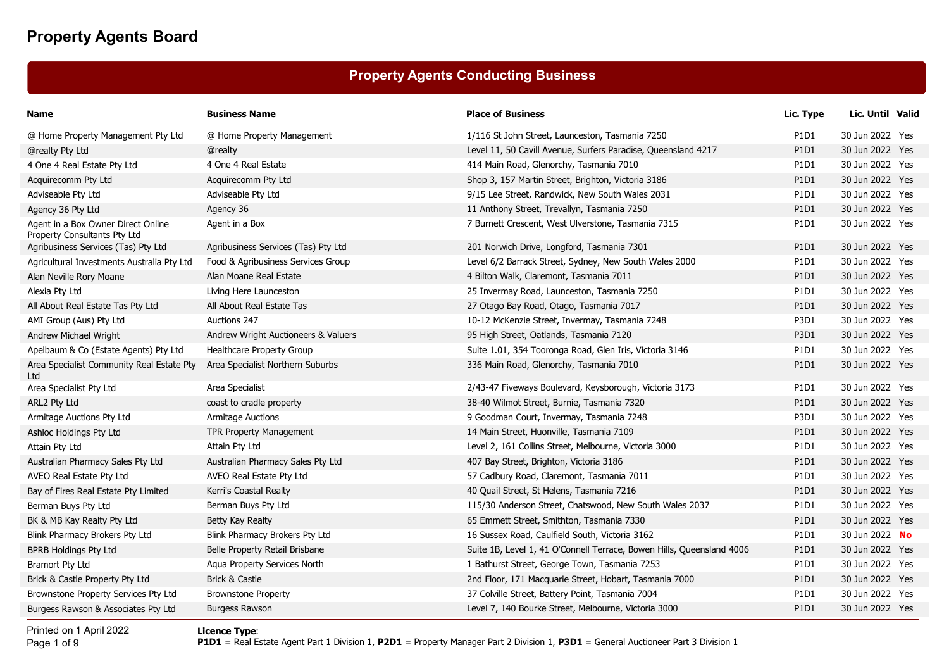## **Property Agents Conducting Business**

| Name                                                               | <b>Business Name</b>                | <b>Place of Business</b>                                              | Lic. Type                     | Lic. Until Valid |  |
|--------------------------------------------------------------------|-------------------------------------|-----------------------------------------------------------------------|-------------------------------|------------------|--|
| @ Home Property Management Pty Ltd                                 | @ Home Property Management          | 1/116 St John Street, Launceston, Tasmania 7250                       | P <sub>1</sub> D <sub>1</sub> | 30 Jun 2022 Yes  |  |
| @realty Pty Ltd                                                    | @realty                             | Level 11, 50 Cavill Avenue, Surfers Paradise, Queensland 4217         | P1D1                          | 30 Jun 2022 Yes  |  |
| 4 One 4 Real Estate Pty Ltd                                        | 4 One 4 Real Estate                 | 414 Main Road, Glenorchy, Tasmania 7010                               | P1D1                          | 30 Jun 2022 Yes  |  |
| Acquirecomm Pty Ltd                                                | Acquirecomm Pty Ltd                 | Shop 3, 157 Martin Street, Brighton, Victoria 3186                    | P1D1                          | 30 Jun 2022 Yes  |  |
| Adviseable Pty Ltd                                                 | Adviseable Pty Ltd                  | 9/15 Lee Street, Randwick, New South Wales 2031                       | P1D1                          | 30 Jun 2022 Yes  |  |
| Agency 36 Pty Ltd                                                  | Agency 36                           | 11 Anthony Street, Trevallyn, Tasmania 7250                           | P <sub>1</sub> D <sub>1</sub> | 30 Jun 2022 Yes  |  |
| Agent in a Box Owner Direct Online<br>Property Consultants Pty Ltd | Agent in a Box                      | 7 Burnett Crescent, West Ulverstone, Tasmania 7315                    | P1D1                          | 30 Jun 2022 Yes  |  |
| Agribusiness Services (Tas) Pty Ltd                                | Agribusiness Services (Tas) Pty Ltd | 201 Norwich Drive, Longford, Tasmania 7301                            | P <sub>1</sub> D <sub>1</sub> | 30 Jun 2022 Yes  |  |
| Agricultural Investments Australia Pty Ltd                         | Food & Agribusiness Services Group  | Level 6/2 Barrack Street, Sydney, New South Wales 2000                | P1D1                          | 30 Jun 2022 Yes  |  |
| Alan Neville Rory Moane                                            | Alan Moane Real Estate              | 4 Bilton Walk, Claremont, Tasmania 7011                               | P1D1                          | 30 Jun 2022 Yes  |  |
| Alexia Pty Ltd                                                     | Living Here Launceston              | 25 Invermay Road, Launceston, Tasmania 7250                           | P1D1                          | 30 Jun 2022 Yes  |  |
| All About Real Estate Tas Pty Ltd                                  | All About Real Estate Tas           | 27 Otago Bay Road, Otago, Tasmania 7017                               | P1D1                          | 30 Jun 2022 Yes  |  |
| AMI Group (Aus) Pty Ltd                                            | Auctions 247                        | 10-12 McKenzie Street, Invermay, Tasmania 7248                        | P3D1                          | 30 Jun 2022 Yes  |  |
| Andrew Michael Wright                                              | Andrew Wright Auctioneers & Valuers | 95 High Street, Oatlands, Tasmania 7120                               | P <sub>3</sub> D <sub>1</sub> | 30 Jun 2022 Yes  |  |
| Apelbaum & Co (Estate Agents) Pty Ltd                              | Healthcare Property Group           | Suite 1.01, 354 Tooronga Road, Glen Iris, Victoria 3146               | P1D1                          | 30 Jun 2022 Yes  |  |
| Area Specialist Community Real Estate Pty<br>Ltd                   | Area Specialist Northern Suburbs    | 336 Main Road, Glenorchy, Tasmania 7010                               | P1D1                          | 30 Jun 2022 Yes  |  |
| Area Specialist Pty Ltd                                            | Area Specialist                     | 2/43-47 Fiveways Boulevard, Keysborough, Victoria 3173                | P <sub>1</sub> D <sub>1</sub> | 30 Jun 2022 Yes  |  |
| ARL2 Pty Ltd                                                       | coast to cradle property            | 38-40 Wilmot Street, Burnie, Tasmania 7320                            | P1D1                          | 30 Jun 2022 Yes  |  |
| Armitage Auctions Pty Ltd                                          | <b>Armitage Auctions</b>            | 9 Goodman Court, Invermay, Tasmania 7248                              | P3D1                          | 30 Jun 2022 Yes  |  |
| Ashloc Holdings Pty Ltd                                            | <b>TPR Property Management</b>      | 14 Main Street, Huonville, Tasmania 7109                              | P1D1                          | 30 Jun 2022 Yes  |  |
| Attain Pty Ltd                                                     | Attain Pty Ltd                      | Level 2, 161 Collins Street, Melbourne, Victoria 3000                 | P <sub>1</sub> D <sub>1</sub> | 30 Jun 2022 Yes  |  |
| Australian Pharmacy Sales Pty Ltd                                  | Australian Pharmacy Sales Pty Ltd   | 407 Bay Street, Brighton, Victoria 3186                               | P1D1                          | 30 Jun 2022 Yes  |  |
| AVEO Real Estate Pty Ltd                                           | AVEO Real Estate Pty Ltd            | 57 Cadbury Road, Claremont, Tasmania 7011                             | P1D1                          | 30 Jun 2022 Yes  |  |
| Bay of Fires Real Estate Pty Limited                               | Kerri's Coastal Realty              | 40 Quail Street, St Helens, Tasmania 7216                             | P1D1                          | 30 Jun 2022 Yes  |  |
| Berman Buys Pty Ltd                                                | Berman Buys Pty Ltd                 | 115/30 Anderson Street, Chatswood, New South Wales 2037               | P1D1                          | 30 Jun 2022 Yes  |  |
| BK & MB Kay Realty Pty Ltd                                         | Betty Kay Realty                    | 65 Emmett Street, Smithton, Tasmania 7330                             | P1D1                          | 30 Jun 2022 Yes  |  |
| Blink Pharmacy Brokers Pty Ltd                                     | Blink Pharmacy Brokers Pty Ltd      | 16 Sussex Road, Caulfield South, Victoria 3162                        | P1D1                          | 30 Jun 2022 No   |  |
| <b>BPRB Holdings Pty Ltd</b>                                       | Belle Property Retail Brisbane      | Suite 1B, Level 1, 41 O'Connell Terrace, Bowen Hills, Queensland 4006 | P <sub>1</sub> D <sub>1</sub> | 30 Jun 2022 Yes  |  |
| Bramort Pty Ltd                                                    | Aqua Property Services North        | 1 Bathurst Street, George Town, Tasmania 7253                         | P1D1                          | 30 Jun 2022 Yes  |  |
| Brick & Castle Property Pty Ltd                                    | Brick & Castle                      | 2nd Floor, 171 Macquarie Street, Hobart, Tasmania 7000                | P1D1                          | 30 Jun 2022 Yes  |  |
| Brownstone Property Services Pty Ltd                               | <b>Brownstone Property</b>          | 37 Colville Street, Battery Point, Tasmania 7004                      | P1D1                          | 30 Jun 2022 Yes  |  |
| Burgess Rawson & Associates Pty Ltd                                | <b>Burgess Rawson</b>               | Level 7, 140 Bourke Street, Melbourne, Victoria 3000                  | P1D1                          | 30 Jun 2022 Yes  |  |

Printed on 1 April 2022Page 1 of 9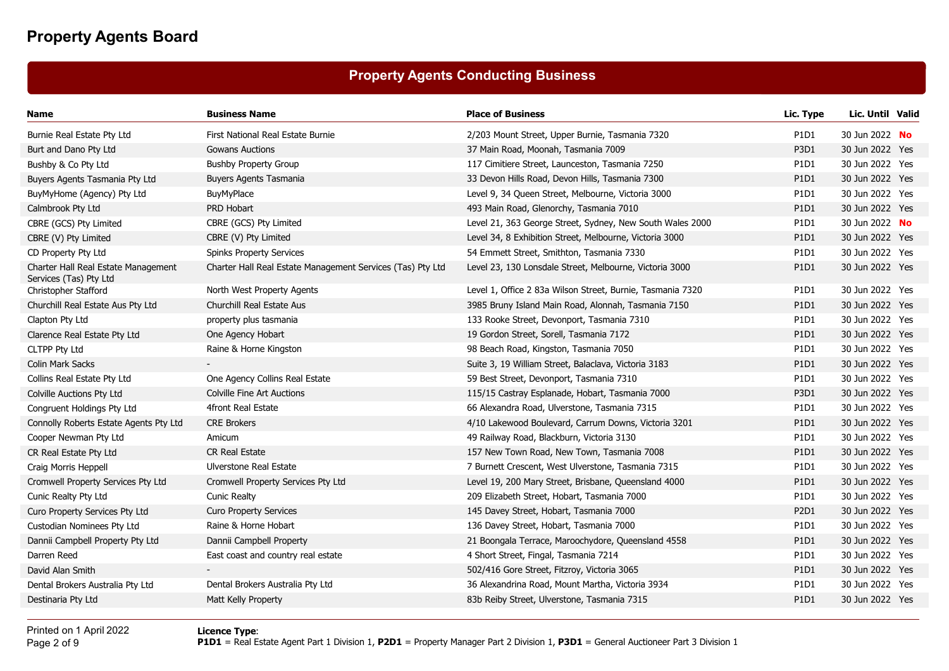## **Property Agents Conducting Business**

| Name                                                          | <b>Business Name</b>                                       | <b>Place of Business</b>                                   | Lic. Type                     | Lic. Until Valid |  |
|---------------------------------------------------------------|------------------------------------------------------------|------------------------------------------------------------|-------------------------------|------------------|--|
| Burnie Real Estate Pty Ltd                                    | First National Real Estate Burnie                          | 2/203 Mount Street, Upper Burnie, Tasmania 7320            | P1D1                          | 30 Jun 2022 No   |  |
| Burt and Dano Pty Ltd                                         | <b>Gowans Auctions</b>                                     | 37 Main Road, Moonah, Tasmania 7009                        | P <sub>3</sub> D <sub>1</sub> | 30 Jun 2022 Yes  |  |
| Bushby & Co Pty Ltd                                           | <b>Bushby Property Group</b>                               | 117 Cimitiere Street, Launceston, Tasmania 7250            | P1D1                          | 30 Jun 2022 Yes  |  |
| Buyers Agents Tasmania Pty Ltd                                | <b>Buyers Agents Tasmania</b>                              | 33 Devon Hills Road, Devon Hills, Tasmania 7300            | P1D1                          | 30 Jun 2022 Yes  |  |
| BuyMyHome (Agency) Pty Ltd                                    | BuyMyPlace                                                 | Level 9, 34 Queen Street, Melbourne, Victoria 3000         | P1D1                          | 30 Jun 2022 Yes  |  |
| Calmbrook Pty Ltd                                             | PRD Hobart                                                 | 493 Main Road, Glenorchy, Tasmania 7010                    | P1D1                          | 30 Jun 2022 Yes  |  |
| CBRE (GCS) Pty Limited                                        | CBRE (GCS) Pty Limited                                     | Level 21, 363 George Street, Sydney, New South Wales 2000  | P1D1                          | 30 Jun 2022 No   |  |
| CBRE (V) Pty Limited                                          | CBRE (V) Pty Limited                                       | Level 34, 8 Exhibition Street, Melbourne, Victoria 3000    | P1D1                          | 30 Jun 2022 Yes  |  |
| CD Property Pty Ltd                                           | <b>Spinks Property Services</b>                            | 54 Emmett Street, Smithton, Tasmania 7330                  | P1D1                          | 30 Jun 2022 Yes  |  |
| Charter Hall Real Estate Management<br>Services (Tas) Pty Ltd | Charter Hall Real Estate Management Services (Tas) Pty Ltd | Level 23, 130 Lonsdale Street, Melbourne, Victoria 3000    | P1D1                          | 30 Jun 2022 Yes  |  |
| Christopher Stafford                                          | North West Property Agents                                 | Level 1, Office 2 83a Wilson Street, Burnie, Tasmania 7320 | P1D1                          | 30 Jun 2022 Yes  |  |
| Churchill Real Estate Aus Pty Ltd                             | Churchill Real Estate Aus                                  | 3985 Bruny Island Main Road, Alonnah, Tasmania 7150        | P1D1                          | 30 Jun 2022 Yes  |  |
| Clapton Pty Ltd                                               | property plus tasmania                                     | 133 Rooke Street, Devonport, Tasmania 7310                 | P1D1                          | 30 Jun 2022 Yes  |  |
| Clarence Real Estate Pty Ltd                                  | One Agency Hobart                                          | 19 Gordon Street, Sorell, Tasmania 7172                    | P1D1                          | 30 Jun 2022 Yes  |  |
| <b>CLTPP Pty Ltd</b>                                          | Raine & Horne Kingston                                     | 98 Beach Road, Kingston, Tasmania 7050                     | P1D1                          | 30 Jun 2022 Yes  |  |
| <b>Colin Mark Sacks</b>                                       |                                                            | Suite 3, 19 William Street, Balaclava, Victoria 3183       | P1D1                          | 30 Jun 2022 Yes  |  |
| Collins Real Estate Pty Ltd                                   | One Agency Collins Real Estate                             | 59 Best Street, Devonport, Tasmania 7310                   | P1D1                          | 30 Jun 2022 Yes  |  |
| Colville Auctions Pty Ltd                                     | <b>Colville Fine Art Auctions</b>                          | 115/15 Castray Esplanade, Hobart, Tasmania 7000            | P3D1                          | 30 Jun 2022 Yes  |  |
| Congruent Holdings Pty Ltd                                    | 4front Real Estate                                         | 66 Alexandra Road, Ulverstone, Tasmania 7315               | P1D1                          | 30 Jun 2022 Yes  |  |
| Connolly Roberts Estate Agents Pty Ltd                        | <b>CRE Brokers</b>                                         | 4/10 Lakewood Boulevard, Carrum Downs, Victoria 3201       | P <sub>1</sub> D <sub>1</sub> | 30 Jun 2022 Yes  |  |
| Cooper Newman Pty Ltd                                         | Amicum                                                     | 49 Railway Road, Blackburn, Victoria 3130                  | P1D1                          | 30 Jun 2022 Yes  |  |
| CR Real Estate Pty Ltd                                        | <b>CR Real Estate</b>                                      | 157 New Town Road, New Town, Tasmania 7008                 | P1D1                          | 30 Jun 2022 Yes  |  |
| Craig Morris Heppell                                          | Ulverstone Real Estate                                     | 7 Burnett Crescent, West Ulverstone, Tasmania 7315         | P1D1                          | 30 Jun 2022 Yes  |  |
| Cromwell Property Services Pty Ltd                            | Cromwell Property Services Pty Ltd                         | Level 19, 200 Mary Street, Brisbane, Queensland 4000       | P1D1                          | 30 Jun 2022 Yes  |  |
| Cunic Realty Pty Ltd                                          | <b>Cunic Realty</b>                                        | 209 Elizabeth Street, Hobart, Tasmania 7000                | P1D1                          | 30 Jun 2022 Yes  |  |
| Curo Property Services Pty Ltd                                | <b>Curo Property Services</b>                              | 145 Davey Street, Hobart, Tasmania 7000                    | P2D1                          | 30 Jun 2022 Yes  |  |
| Custodian Nominees Pty Ltd                                    | Raine & Horne Hobart                                       | 136 Davey Street, Hobart, Tasmania 7000                    | P1D1                          | 30 Jun 2022 Yes  |  |
| Dannii Campbell Property Pty Ltd                              | Dannii Campbell Property                                   | 21 Boongala Terrace, Maroochydore, Queensland 4558         | P1D1                          | 30 Jun 2022 Yes  |  |
| Darren Reed                                                   | East coast and country real estate                         | 4 Short Street, Fingal, Tasmania 7214                      | P1D1                          | 30 Jun 2022 Yes  |  |
| David Alan Smith                                              |                                                            | 502/416 Gore Street, Fitzroy, Victoria 3065                | P <sub>1</sub> D <sub>1</sub> | 30 Jun 2022 Yes  |  |
| Dental Brokers Australia Pty Ltd                              | Dental Brokers Australia Pty Ltd                           | 36 Alexandrina Road, Mount Martha, Victoria 3934           | P1D1                          | 30 Jun 2022 Yes  |  |
| Destinaria Pty Ltd                                            | Matt Kelly Property                                        | 83b Reiby Street, Ulverstone, Tasmania 7315                | P1D1                          | 30 Jun 2022 Yes  |  |
|                                                               |                                                            |                                                            |                               |                  |  |

Printed on 1 April 2022Page 2 of 9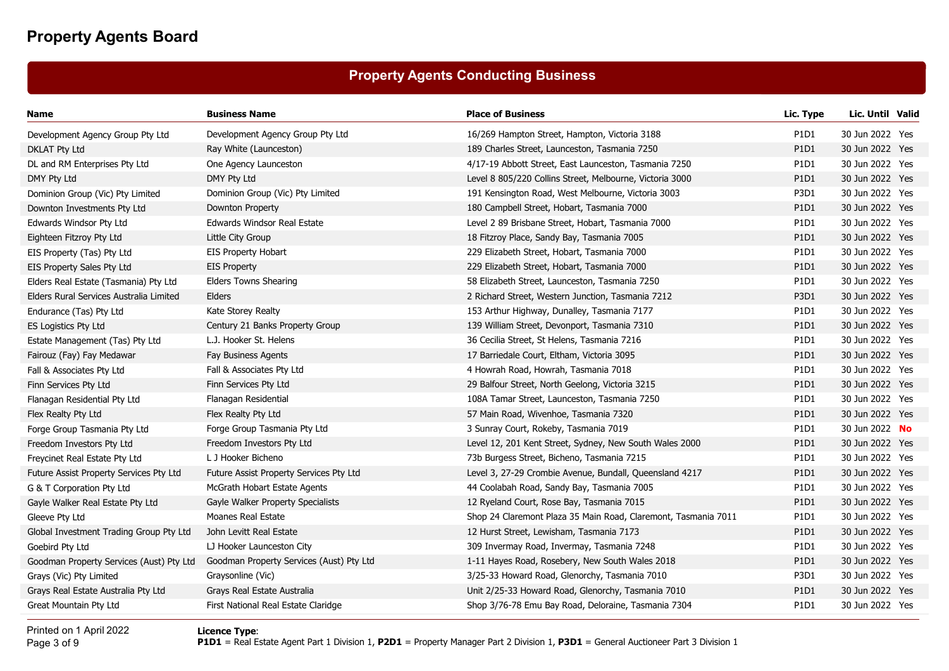## **Property Agents Conducting Business**

| Name                                     | <b>Business Name</b>                     | <b>Place of Business</b>                                       | Lic. Type   | Lic. Until Valid |  |
|------------------------------------------|------------------------------------------|----------------------------------------------------------------|-------------|------------------|--|
| Development Agency Group Pty Ltd         | Development Agency Group Pty Ltd         | 16/269 Hampton Street, Hampton, Victoria 3188                  | P1D1        | 30 Jun 2022 Yes  |  |
| <b>DKLAT Pty Ltd</b>                     | Ray White (Launceston)                   | 189 Charles Street, Launceston, Tasmania 7250                  | P1D1        | 30 Jun 2022 Yes  |  |
| DL and RM Enterprises Pty Ltd            | One Agency Launceston                    | 4/17-19 Abbott Street, East Launceston, Tasmania 7250          | P1D1        | 30 Jun 2022 Yes  |  |
| DMY Pty Ltd                              | DMY Pty Ltd                              | Level 8 805/220 Collins Street, Melbourne, Victoria 3000       | P1D1        | 30 Jun 2022 Yes  |  |
| Dominion Group (Vic) Pty Limited         | Dominion Group (Vic) Pty Limited         | 191 Kensington Road, West Melbourne, Victoria 3003             | <b>P3D1</b> | 30 Jun 2022 Yes  |  |
| Downton Investments Pty Ltd              | Downton Property                         | 180 Campbell Street, Hobart, Tasmania 7000                     | P1D1        | 30 Jun 2022 Yes  |  |
| Edwards Windsor Pty Ltd                  | Edwards Windsor Real Estate              | Level 2 89 Brisbane Street, Hobart, Tasmania 7000              | P1D1        | 30 Jun 2022 Yes  |  |
| Eighteen Fitzroy Pty Ltd                 | Little City Group                        | 18 Fitzroy Place, Sandy Bay, Tasmania 7005                     | P1D1        | 30 Jun 2022 Yes  |  |
| EIS Property (Tas) Pty Ltd               | <b>EIS Property Hobart</b>               | 229 Elizabeth Street, Hobart, Tasmania 7000                    | P1D1        | 30 Jun 2022 Yes  |  |
| EIS Property Sales Pty Ltd               | <b>EIS Property</b>                      | 229 Elizabeth Street, Hobart, Tasmania 7000                    | P1D1        | 30 Jun 2022 Yes  |  |
| Elders Real Estate (Tasmania) Pty Ltd    | <b>Elders Towns Shearing</b>             | 58 Elizabeth Street, Launceston, Tasmania 7250                 | P1D1        | 30 Jun 2022 Yes  |  |
| Elders Rural Services Australia Limited  | Elders                                   | 2 Richard Street, Western Junction, Tasmania 7212              | <b>P3D1</b> | 30 Jun 2022 Yes  |  |
| Endurance (Tas) Pty Ltd                  | Kate Storey Realty                       | 153 Arthur Highway, Dunalley, Tasmania 7177                    | P1D1        | 30 Jun 2022 Yes  |  |
| <b>ES Logistics Pty Ltd</b>              | Century 21 Banks Property Group          | 139 William Street, Devonport, Tasmania 7310                   | P1D1        | 30 Jun 2022 Yes  |  |
| Estate Management (Tas) Pty Ltd          | L.J. Hooker St. Helens                   | 36 Cecilia Street, St Helens, Tasmania 7216                    | P1D1        | 30 Jun 2022 Yes  |  |
| Fairouz (Fay) Fay Medawar                | Fay Business Agents                      | 17 Barriedale Court, Eltham, Victoria 3095                     | P1D1        | 30 Jun 2022 Yes  |  |
| Fall & Associates Pty Ltd                | Fall & Associates Pty Ltd                | 4 Howrah Road, Howrah, Tasmania 7018                           | P1D1        | 30 Jun 2022 Yes  |  |
| Finn Services Pty Ltd                    | Finn Services Pty Ltd                    | 29 Balfour Street, North Geelong, Victoria 3215                | P1D1        | 30 Jun 2022 Yes  |  |
| Flanagan Residential Pty Ltd             | Flanagan Residential                     | 108A Tamar Street, Launceston, Tasmania 7250                   | P1D1        | 30 Jun 2022 Yes  |  |
| Flex Realty Pty Ltd                      | Flex Realty Pty Ltd                      | 57 Main Road, Wivenhoe, Tasmania 7320                          | P1D1        | 30 Jun 2022 Yes  |  |
| Forge Group Tasmania Pty Ltd             | Forge Group Tasmania Pty Ltd             | 3 Sunray Court, Rokeby, Tasmania 7019                          | P1D1        | 30 Jun 2022 No   |  |
| Freedom Investors Pty Ltd                | Freedom Investors Pty Ltd                | Level 12, 201 Kent Street, Sydney, New South Wales 2000        | P1D1        | 30 Jun 2022 Yes  |  |
| Freycinet Real Estate Pty Ltd            | L J Hooker Bicheno                       | 73b Burgess Street, Bicheno, Tasmania 7215                     | P1D1        | 30 Jun 2022 Yes  |  |
| Future Assist Property Services Pty Ltd  | Future Assist Property Services Pty Ltd  | Level 3, 27-29 Crombie Avenue, Bundall, Queensland 4217        | P1D1        | 30 Jun 2022 Yes  |  |
| G & T Corporation Pty Ltd                | McGrath Hobart Estate Agents             | 44 Coolabah Road, Sandy Bay, Tasmania 7005                     | P1D1        | 30 Jun 2022 Yes  |  |
| Gayle Walker Real Estate Pty Ltd         | Gayle Walker Property Specialists        | 12 Ryeland Court, Rose Bay, Tasmania 7015                      | P1D1        | 30 Jun 2022 Yes  |  |
| Gleeve Pty Ltd                           | Moanes Real Estate                       | Shop 24 Claremont Plaza 35 Main Road, Claremont, Tasmania 7011 | P1D1        | 30 Jun 2022 Yes  |  |
| Global Investment Trading Group Pty Ltd  | John Levitt Real Estate                  | 12 Hurst Street, Lewisham, Tasmania 7173                       | P1D1        | 30 Jun 2022 Yes  |  |
| Goebird Pty Ltd                          | LJ Hooker Launceston City                | 309 Invermay Road, Invermay, Tasmania 7248                     | P1D1        | 30 Jun 2022 Yes  |  |
| Goodman Property Services (Aust) Pty Ltd | Goodman Property Services (Aust) Pty Ltd | 1-11 Hayes Road, Rosebery, New South Wales 2018                | P1D1        | 30 Jun 2022 Yes  |  |
| Grays (Vic) Pty Limited                  | Graysonline (Vic)                        | 3/25-33 Howard Road, Glenorchy, Tasmania 7010                  | P3D1        | 30 Jun 2022 Yes  |  |
| Grays Real Estate Australia Pty Ltd      | Grays Real Estate Australia              | Unit 2/25-33 Howard Road, Glenorchy, Tasmania 7010             | P1D1        | 30 Jun 2022 Yes  |  |
| Great Mountain Pty Ltd                   | First National Real Estate Claridge      | Shop 3/76-78 Emu Bay Road, Deloraine, Tasmania 7304            | P1D1        | 30 Jun 2022 Yes  |  |
|                                          |                                          |                                                                |             |                  |  |

Printed on 1 April 2022Page 3 of 9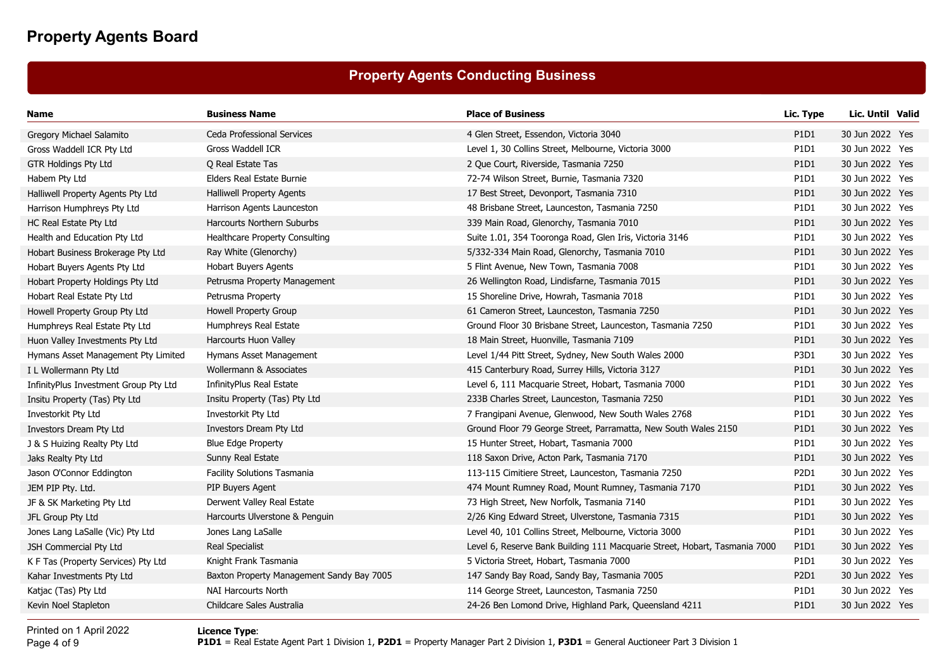## **Property Agents Conducting Business**

| Name                                  | <b>Business Name</b>                      | <b>Place of Business</b>                                                   | Lic. Type                     | Lic. Until Valid |  |
|---------------------------------------|-------------------------------------------|----------------------------------------------------------------------------|-------------------------------|------------------|--|
| Gregory Michael Salamito              | Ceda Professional Services                | 4 Glen Street, Essendon, Victoria 3040                                     | P1D1                          | 30 Jun 2022 Yes  |  |
| Gross Waddell ICR Pty Ltd             | Gross Waddell ICR                         | Level 1, 30 Collins Street, Melbourne, Victoria 3000                       | P1D1                          | 30 Jun 2022 Yes  |  |
| <b>GTR Holdings Pty Ltd</b>           | Q Real Estate Tas                         | 2 Que Court, Riverside, Tasmania 7250                                      | P1D1                          | 30 Jun 2022 Yes  |  |
| Habem Pty Ltd                         | Elders Real Estate Burnie                 | 72-74 Wilson Street, Burnie, Tasmania 7320                                 | P1D1                          | 30 Jun 2022 Yes  |  |
| Halliwell Property Agents Pty Ltd     | <b>Halliwell Property Agents</b>          | 17 Best Street, Devonport, Tasmania 7310                                   | P1D1                          | 30 Jun 2022 Yes  |  |
| Harrison Humphreys Pty Ltd            | Harrison Agents Launceston                | 48 Brisbane Street, Launceston, Tasmania 7250                              | P1D1                          | 30 Jun 2022 Yes  |  |
| HC Real Estate Pty Ltd                | Harcourts Northern Suburbs                | 339 Main Road, Glenorchy, Tasmania 7010                                    | P1D1                          | 30 Jun 2022 Yes  |  |
| Health and Education Pty Ltd          | Healthcare Property Consulting            | Suite 1.01, 354 Tooronga Road, Glen Iris, Victoria 3146                    | P1D1                          | 30 Jun 2022 Yes  |  |
| Hobart Business Brokerage Pty Ltd     | Ray White (Glenorchy)                     | 5/332-334 Main Road, Glenorchy, Tasmania 7010                              | P1D1                          | 30 Jun 2022 Yes  |  |
| Hobart Buyers Agents Pty Ltd          | Hobart Buyers Agents                      | 5 Flint Avenue, New Town, Tasmania 7008                                    | P1D1                          | 30 Jun 2022 Yes  |  |
| Hobart Property Holdings Pty Ltd      | Petrusma Property Management              | 26 Wellington Road, Lindisfarne, Tasmania 7015                             | P1D1                          | 30 Jun 2022 Yes  |  |
| Hobart Real Estate Pty Ltd            | Petrusma Property                         | 15 Shoreline Drive, Howrah, Tasmania 7018                                  | P1D1                          | 30 Jun 2022 Yes  |  |
| Howell Property Group Pty Ltd         | Howell Property Group                     | 61 Cameron Street, Launceston, Tasmania 7250                               | P <sub>1</sub> D <sub>1</sub> | 30 Jun 2022 Yes  |  |
| Humphreys Real Estate Pty Ltd         | Humphreys Real Estate                     | Ground Floor 30 Brisbane Street, Launceston, Tasmania 7250                 | P1D1                          | 30 Jun 2022 Yes  |  |
| Huon Valley Investments Pty Ltd       | Harcourts Huon Valley                     | 18 Main Street, Huonville, Tasmania 7109                                   | P1D1                          | 30 Jun 2022 Yes  |  |
| Hymans Asset Management Pty Limited   | Hymans Asset Management                   | Level 1/44 Pitt Street, Sydney, New South Wales 2000                       | P3D1                          | 30 Jun 2022 Yes  |  |
| I L Wollermann Pty Ltd                | Wollermann & Associates                   | 415 Canterbury Road, Surrey Hills, Victoria 3127                           | P1D1                          | 30 Jun 2022 Yes  |  |
| InfinityPlus Investment Group Pty Ltd | <b>InfinityPlus Real Estate</b>           | Level 6, 111 Macquarie Street, Hobart, Tasmania 7000                       | P1D1                          | 30 Jun 2022 Yes  |  |
| Insitu Property (Tas) Pty Ltd         | Insitu Property (Tas) Pty Ltd             | 233B Charles Street, Launceston, Tasmania 7250                             | P1D1                          | 30 Jun 2022 Yes  |  |
| Investorkit Pty Ltd                   | Investorkit Pty Ltd                       | 7 Frangipani Avenue, Glenwood, New South Wales 2768                        | P1D1                          | 30 Jun 2022 Yes  |  |
| Investors Dream Pty Ltd               | Investors Dream Pty Ltd                   | Ground Floor 79 George Street, Parramatta, New South Wales 2150            | P1D1                          | 30 Jun 2022 Yes  |  |
| J & S Huizing Realty Pty Ltd          | <b>Blue Edge Property</b>                 | 15 Hunter Street, Hobart, Tasmania 7000                                    | P1D1                          | 30 Jun 2022 Yes  |  |
| Jaks Realty Pty Ltd                   | Sunny Real Estate                         | 118 Saxon Drive, Acton Park, Tasmania 7170                                 | P1D1                          | 30 Jun 2022 Yes  |  |
| Jason O'Connor Eddington              | Facility Solutions Tasmania               | 113-115 Cimitiere Street, Launceston, Tasmania 7250                        | P2D1                          | 30 Jun 2022 Yes  |  |
| JEM PIP Pty. Ltd.                     | PIP Buyers Agent                          | 474 Mount Rumney Road, Mount Rumney, Tasmania 7170                         | P1D1                          | 30 Jun 2022 Yes  |  |
| JF & SK Marketing Pty Ltd             | Derwent Valley Real Estate                | 73 High Street, New Norfolk, Tasmania 7140                                 | P1D1                          | 30 Jun 2022 Yes  |  |
| JFL Group Pty Ltd                     | Harcourts Ulverstone & Penguin            | 2/26 King Edward Street, Ulverstone, Tasmania 7315                         | P1D1                          | 30 Jun 2022 Yes  |  |
| Jones Lang LaSalle (Vic) Pty Ltd      | Jones Lang LaSalle                        | Level 40, 101 Collins Street, Melbourne, Victoria 3000                     | P <sub>1</sub> D <sub>1</sub> | 30 Jun 2022 Yes  |  |
| JSH Commercial Pty Ltd                | Real Specialist                           | Level 6, Reserve Bank Building 111 Macquarie Street, Hobart, Tasmania 7000 | P1D1                          | 30 Jun 2022 Yes  |  |
| K F Tas (Property Services) Pty Ltd   | Knight Frank Tasmania                     | 5 Victoria Street, Hobart, Tasmania 7000                                   | P <sub>1</sub> D <sub>1</sub> | 30 Jun 2022 Yes  |  |
| Kahar Investments Pty Ltd             | Baxton Property Management Sandy Bay 7005 | 147 Sandy Bay Road, Sandy Bay, Tasmania 7005                               | P <sub>2</sub> D <sub>1</sub> | 30 Jun 2022 Yes  |  |
| Katjac (Tas) Pty Ltd                  | <b>NAI Harcourts North</b>                | 114 George Street, Launceston, Tasmania 7250                               | P1D1                          | 30 Jun 2022 Yes  |  |
| Kevin Noel Stapleton                  | Childcare Sales Australia                 | 24-26 Ben Lomond Drive, Highland Park, Queensland 4211                     | P1D1                          | 30 Jun 2022 Yes  |  |

Printed on 1 April 2022Page 4 of 9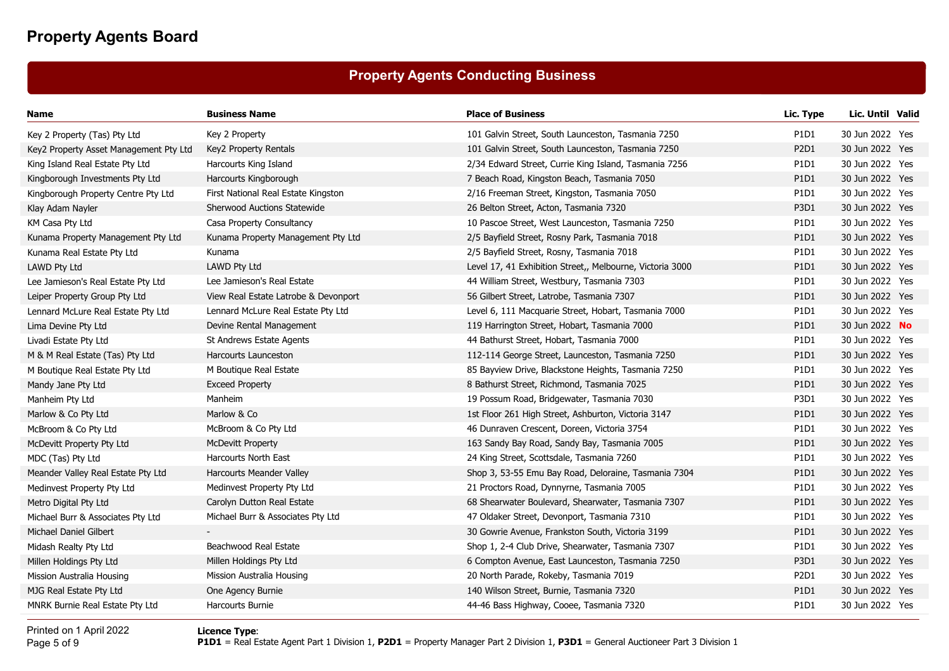## **Property Agents Conducting Business**

| Name                                   | <b>Business Name</b>                 | <b>Place of Business</b>                                  | Lic. Type                     | Lic. Until Valid |  |
|----------------------------------------|--------------------------------------|-----------------------------------------------------------|-------------------------------|------------------|--|
| Key 2 Property (Tas) Pty Ltd           | Key 2 Property                       | 101 Galvin Street, South Launceston, Tasmania 7250        | P1D1                          | 30 Jun 2022 Yes  |  |
| Key2 Property Asset Management Pty Ltd | Key2 Property Rentals                | 101 Galvin Street, South Launceston, Tasmania 7250        | P2D1                          | 30 Jun 2022 Yes  |  |
| King Island Real Estate Pty Ltd        | Harcourts King Island                | 2/34 Edward Street, Currie King Island, Tasmania 7256     | P1D1                          | 30 Jun 2022 Yes  |  |
| Kingborough Investments Pty Ltd        | Harcourts Kingborough                | 7 Beach Road, Kingston Beach, Tasmania 7050               | P1D1                          | 30 Jun 2022 Yes  |  |
| Kingborough Property Centre Pty Ltd    | First National Real Estate Kingston  | 2/16 Freeman Street, Kingston, Tasmania 7050              | P1D1                          | 30 Jun 2022 Yes  |  |
| Klay Adam Nayler                       | <b>Sherwood Auctions Statewide</b>   | 26 Belton Street, Acton, Tasmania 7320                    | P <sub>3</sub> D <sub>1</sub> | 30 Jun 2022 Yes  |  |
| KM Casa Pty Ltd                        | Casa Property Consultancy            | 10 Pascoe Street, West Launceston, Tasmania 7250          | P1D1                          | 30 Jun 2022 Yes  |  |
| Kunama Property Management Pty Ltd     | Kunama Property Management Pty Ltd   | 2/5 Bayfield Street, Rosny Park, Tasmania 7018            | <b>P1D1</b>                   | 30 Jun 2022 Yes  |  |
| Kunama Real Estate Pty Ltd             | Kunama                               | 2/5 Bayfield Street, Rosny, Tasmania 7018                 | P1D1                          | 30 Jun 2022 Yes  |  |
| LAWD Pty Ltd                           | LAWD Pty Ltd                         | Level 17, 41 Exhibition Street,, Melbourne, Victoria 3000 | P1D1                          | 30 Jun 2022 Yes  |  |
| Lee Jamieson's Real Estate Pty Ltd     | Lee Jamieson's Real Estate           | 44 William Street, Westbury, Tasmania 7303                | P1D1                          | 30 Jun 2022 Yes  |  |
| Leiper Property Group Pty Ltd          | View Real Estate Latrobe & Devonport | 56 Gilbert Street, Latrobe, Tasmania 7307                 | P <sub>1</sub> D <sub>1</sub> | 30 Jun 2022 Yes  |  |
| Lennard McLure Real Estate Pty Ltd     | Lennard McLure Real Estate Pty Ltd   | Level 6, 111 Macquarie Street, Hobart, Tasmania 7000      | P1D1                          | 30 Jun 2022 Yes  |  |
| Lima Devine Pty Ltd                    | Devine Rental Management             | 119 Harrington Street, Hobart, Tasmania 7000              | <b>P1D1</b>                   | 30 Jun 2022 No   |  |
| Livadi Estate Pty Ltd                  | St Andrews Estate Agents             | 44 Bathurst Street, Hobart, Tasmania 7000                 | P1D1                          | 30 Jun 2022 Yes  |  |
| M & M Real Estate (Tas) Pty Ltd        | Harcourts Launceston                 | 112-114 George Street, Launceston, Tasmania 7250          | P1D1                          | 30 Jun 2022 Yes  |  |
| M Boutique Real Estate Pty Ltd         | M Boutique Real Estate               | 85 Bayview Drive, Blackstone Heights, Tasmania 7250       | P1D1                          | 30 Jun 2022 Yes  |  |
| Mandy Jane Pty Ltd                     | <b>Exceed Property</b>               | 8 Bathurst Street, Richmond, Tasmania 7025                | P1D1                          | 30 Jun 2022 Yes  |  |
| Manheim Pty Ltd                        | Manheim                              | 19 Possum Road, Bridgewater, Tasmania 7030                | <b>P3D1</b>                   | 30 Jun 2022 Yes  |  |
| Marlow & Co Pty Ltd                    | Marlow & Co                          | 1st Floor 261 High Street, Ashburton, Victoria 3147       | <b>P1D1</b>                   | 30 Jun 2022 Yes  |  |
| McBroom & Co Pty Ltd                   | McBroom & Co Pty Ltd                 | 46 Dunraven Crescent, Doreen, Victoria 3754               | P1D1                          | 30 Jun 2022 Yes  |  |
| McDevitt Property Pty Ltd              | <b>McDevitt Property</b>             | 163 Sandy Bay Road, Sandy Bay, Tasmania 7005              | <b>P1D1</b>                   | 30 Jun 2022 Yes  |  |
| MDC (Tas) Pty Ltd                      | Harcourts North East                 | 24 King Street, Scottsdale, Tasmania 7260                 | P1D1                          | 30 Jun 2022 Yes  |  |
| Meander Valley Real Estate Pty Ltd     | Harcourts Meander Valley             | Shop 3, 53-55 Emu Bay Road, Deloraine, Tasmania 7304      | P1D1                          | 30 Jun 2022 Yes  |  |
| Medinvest Property Pty Ltd             | Medinvest Property Pty Ltd           | 21 Proctors Road, Dynnyrne, Tasmania 7005                 | P1D1                          | 30 Jun 2022 Yes  |  |
| Metro Digital Pty Ltd                  | Carolyn Dutton Real Estate           | 68 Shearwater Boulevard, Shearwater, Tasmania 7307        | <b>P1D1</b>                   | 30 Jun 2022 Yes  |  |
| Michael Burr & Associates Pty Ltd      | Michael Burr & Associates Pty Ltd    | 47 Oldaker Street, Devonport, Tasmania 7310               | P1D1                          | 30 Jun 2022 Yes  |  |
| Michael Daniel Gilbert                 |                                      | 30 Gowrie Avenue, Frankston South, Victoria 3199          | P <sub>1</sub> D <sub>1</sub> | 30 Jun 2022 Yes  |  |
| Midash Realty Pty Ltd                  | Beachwood Real Estate                | Shop 1, 2-4 Club Drive, Shearwater, Tasmania 7307         | P1D1                          | 30 Jun 2022 Yes  |  |
| Millen Holdings Pty Ltd                | Millen Holdings Pty Ltd              | 6 Compton Avenue, East Launceston, Tasmania 7250          | <b>P3D1</b>                   | 30 Jun 2022 Yes  |  |
| Mission Australia Housing              | Mission Australia Housing            | 20 North Parade, Rokeby, Tasmania 7019                    | P <sub>2</sub> D <sub>1</sub> | 30 Jun 2022 Yes  |  |
| MJG Real Estate Pty Ltd                | One Agency Burnie                    | 140 Wilson Street, Burnie, Tasmania 7320                  | <b>P1D1</b>                   | 30 Jun 2022 Yes  |  |
| MNRK Burnie Real Estate Pty Ltd        | <b>Harcourts Burnie</b>              | 44-46 Bass Highway, Cooee, Tasmania 7320                  | P1D1                          | 30 Jun 2022 Yes  |  |

Printed on 1 April 2022Page 5 of 9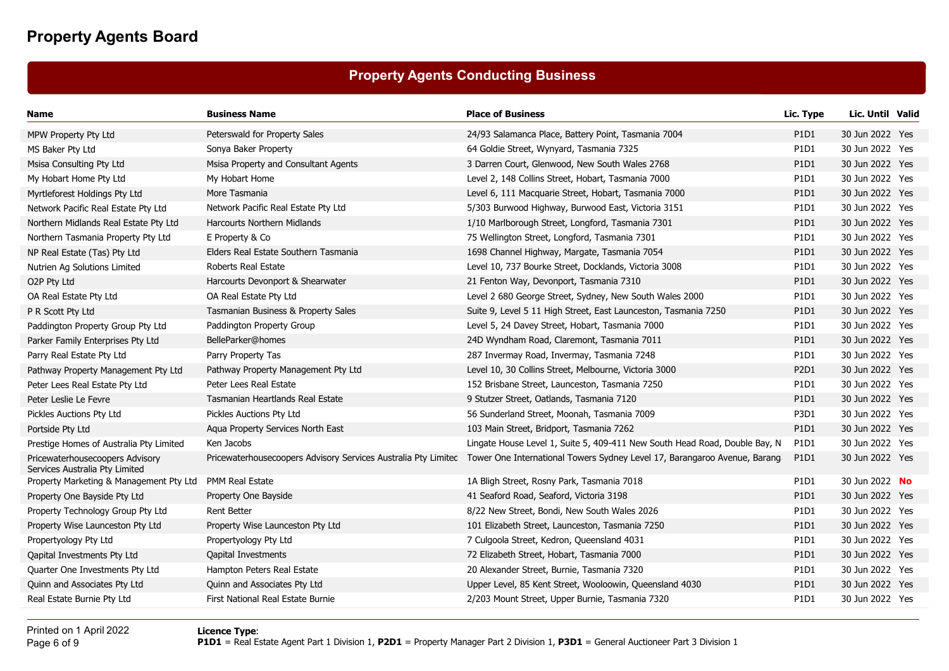## **Property Agents Conducting Business**

| Name                                                              | <b>Business Name</b>                 | <b>Place of Business</b>                                                                                                                 | Lic. Type                     | Lic. Until Valid |  |
|-------------------------------------------------------------------|--------------------------------------|------------------------------------------------------------------------------------------------------------------------------------------|-------------------------------|------------------|--|
| MPW Property Pty Ltd                                              | Peterswald for Property Sales        | 24/93 Salamanca Place, Battery Point, Tasmania 7004                                                                                      | P1D1                          | 30 Jun 2022 Yes  |  |
| MS Baker Pty Ltd                                                  | Sonya Baker Property                 | 64 Goldie Street, Wynyard, Tasmania 7325                                                                                                 | P1D1                          | 30 Jun 2022 Yes  |  |
| Msisa Consulting Pty Ltd                                          | Msisa Property and Consultant Agents | 3 Darren Court, Glenwood, New South Wales 2768                                                                                           | P1D1                          | 30 Jun 2022 Yes  |  |
| My Hobart Home Pty Ltd                                            | My Hobart Home                       | Level 2, 148 Collins Street, Hobart, Tasmania 7000                                                                                       | P1D1                          | 30 Jun 2022 Yes  |  |
| Myrtleforest Holdings Pty Ltd                                     | More Tasmania                        | Level 6, 111 Macquarie Street, Hobart, Tasmania 7000                                                                                     | P1D1                          | 30 Jun 2022 Yes  |  |
| Network Pacific Real Estate Pty Ltd                               | Network Pacific Real Estate Pty Ltd  | 5/303 Burwood Highway, Burwood East, Victoria 3151                                                                                       | P1D1                          | 30 Jun 2022 Yes  |  |
| Northern Midlands Real Estate Pty Ltd                             | <b>Harcourts Northern Midlands</b>   | 1/10 Marlborough Street, Longford, Tasmania 7301                                                                                         | P1D1                          | 30 Jun 2022 Yes  |  |
| Northern Tasmania Property Pty Ltd                                | E Property & Co                      | 75 Wellington Street, Longford, Tasmania 7301                                                                                            | P1D1                          | 30 Jun 2022 Yes  |  |
| NP Real Estate (Tas) Pty Ltd                                      | Elders Real Estate Southern Tasmania | 1698 Channel Highway, Margate, Tasmania 7054                                                                                             | P <sub>1</sub> D <sub>1</sub> | 30 Jun 2022 Yes  |  |
| Nutrien Ag Solutions Limited                                      | Roberts Real Estate                  | Level 10, 737 Bourke Street, Docklands, Victoria 3008                                                                                    | P1D1                          | 30 Jun 2022 Yes  |  |
| O2P Pty Ltd                                                       | Harcourts Devonport & Shearwater     | 21 Fenton Way, Devonport, Tasmania 7310                                                                                                  | P <sub>1</sub> D <sub>1</sub> | 30 Jun 2022 Yes  |  |
| OA Real Estate Pty Ltd                                            | OA Real Estate Pty Ltd               | Level 2 680 George Street, Sydney, New South Wales 2000                                                                                  | P1D1                          | 30 Jun 2022 Yes  |  |
| P R Scott Pty Ltd                                                 | Tasmanian Business & Property Sales  | Suite 9, Level 5 11 High Street, East Launceston, Tasmania 7250                                                                          | P1D1                          | 30 Jun 2022 Yes  |  |
| Paddington Property Group Pty Ltd                                 | Paddington Property Group            | Level 5, 24 Davey Street, Hobart, Tasmania 7000                                                                                          | P1D1                          | 30 Jun 2022 Yes  |  |
| Parker Family Enterprises Pty Ltd                                 | BelleParker@homes                    | 24D Wyndham Road, Claremont, Tasmania 7011                                                                                               | P1D1                          | 30 Jun 2022 Yes  |  |
| Parry Real Estate Pty Ltd                                         | Parry Property Tas                   | 287 Invermay Road, Invermay, Tasmania 7248                                                                                               | P1D1                          | 30 Jun 2022 Yes  |  |
| Pathway Property Management Pty Ltd                               | Pathway Property Management Pty Ltd  | Level 10, 30 Collins Street, Melbourne, Victoria 3000                                                                                    | P2D1                          | 30 Jun 2022 Yes  |  |
| Peter Lees Real Estate Pty Ltd                                    | Peter Lees Real Estate               | 152 Brisbane Street, Launceston, Tasmania 7250                                                                                           | P1D1                          | 30 Jun 2022 Yes  |  |
| Peter Leslie Le Fevre                                             | Tasmanian Heartlands Real Estate     | 9 Stutzer Street, Oatlands, Tasmania 7120                                                                                                | P1D1                          | 30 Jun 2022 Yes  |  |
| Pickles Auctions Pty Ltd                                          | Pickles Auctions Pty Ltd             | 56 Sunderland Street, Moonah, Tasmania 7009                                                                                              | P3D1                          | 30 Jun 2022 Yes  |  |
| Portside Pty Ltd                                                  | Agua Property Services North East    | 103 Main Street, Bridport, Tasmania 7262                                                                                                 | P1D1                          | 30 Jun 2022 Yes  |  |
| Prestige Homes of Australia Pty Limited                           | Ken Jacobs                           | Lingate House Level 1, Suite 5, 409-411 New South Head Road, Double Bay, N                                                               | P1D1                          | 30 Jun 2022 Yes  |  |
| Pricewaterhousecoopers Advisory<br>Services Australia Pty Limited |                                      | Pricewaterhousecoopers Advisory Services Australia Pty Limited Tower One International Towers Sydney Level 17, Barangaroo Avenue, Barang | P <sub>1</sub> D <sub>1</sub> | 30 Jun 2022 Yes  |  |
| Property Marketing & Management Pty Ltd                           | PMM Real Estate                      | 1A Bligh Street, Rosny Park, Tasmania 7018                                                                                               | P1D1                          | 30 Jun 2022 No   |  |
| Property One Bayside Pty Ltd                                      | Property One Bayside                 | 41 Seaford Road, Seaford, Victoria 3198                                                                                                  | P1D1                          | 30 Jun 2022 Yes  |  |
| Property Technology Group Pty Ltd                                 | <b>Rent Better</b>                   | 8/22 New Street, Bondi, New South Wales 2026                                                                                             | P1D1                          | 30 Jun 2022 Yes  |  |
| Property Wise Launceston Pty Ltd                                  | Property Wise Launceston Pty Ltd     | 101 Elizabeth Street, Launceston, Tasmania 7250                                                                                          | P1D1                          | 30 Jun 2022 Yes  |  |
| Propertyology Pty Ltd                                             | Propertyology Pty Ltd                | 7 Culgoola Street, Kedron, Queensland 4031                                                                                               | P1D1                          | 30 Jun 2022 Yes  |  |
| Qapital Investments Pty Ltd                                       | <b>Qapital Investments</b>           | 72 Elizabeth Street, Hobart, Tasmania 7000                                                                                               | P1D1                          | 30 Jun 2022 Yes  |  |
| Quarter One Investments Pty Ltd                                   | Hampton Peters Real Estate           | 20 Alexander Street, Burnie, Tasmania 7320                                                                                               | P1D1                          | 30 Jun 2022 Yes  |  |
| Quinn and Associates Pty Ltd                                      | Quinn and Associates Pty Ltd         | Upper Level, 85 Kent Street, Wooloowin, Queensland 4030                                                                                  | P1D1                          | 30 Jun 2022 Yes  |  |
| Real Estate Burnie Pty Ltd                                        | First National Real Estate Burnie    | 2/203 Mount Street, Upper Burnie, Tasmania 7320                                                                                          | P1D1                          | 30 Jun 2022 Yes  |  |
|                                                                   |                                      |                                                                                                                                          |                               |                  |  |

Printed on 1 April 2022Page 6 of 9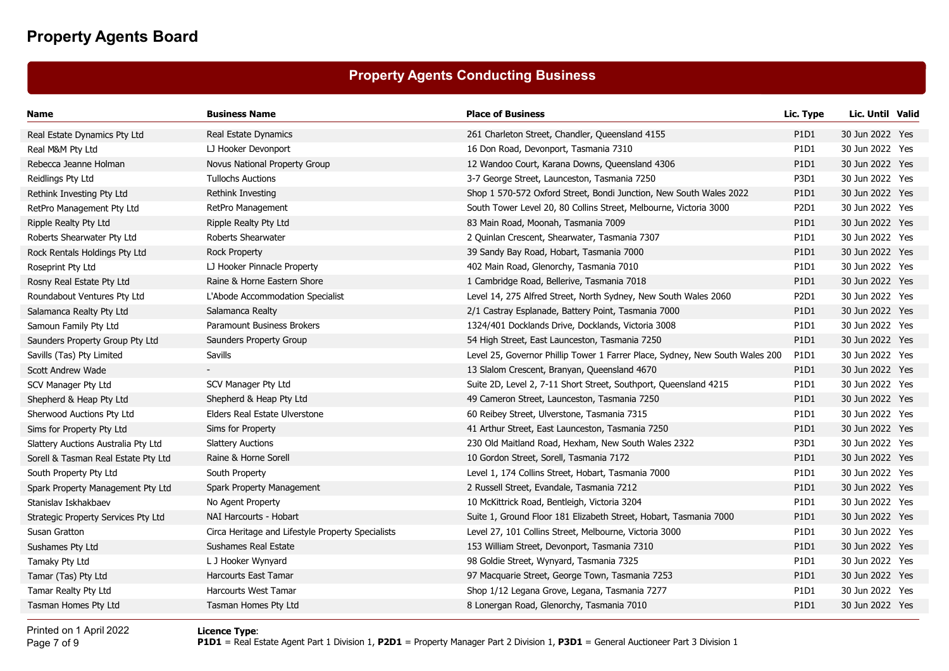## **Property Agents Conducting Business**

| Name                                | <b>Business Name</b>                              | <b>Place of Business</b>                                                     | Lic. Type                     | Lic. Until Valid |  |
|-------------------------------------|---------------------------------------------------|------------------------------------------------------------------------------|-------------------------------|------------------|--|
| Real Estate Dynamics Pty Ltd        | Real Estate Dynamics                              | 261 Charleton Street, Chandler, Queensland 4155                              | P1D1                          | 30 Jun 2022 Yes  |  |
| Real M&M Pty Ltd                    | LJ Hooker Devonport                               | 16 Don Road, Devonport, Tasmania 7310                                        | P1D1                          | 30 Jun 2022 Yes  |  |
| Rebecca Jeanne Holman               | Novus National Property Group                     | 12 Wandoo Court, Karana Downs, Queensland 4306                               | P1D1                          | 30 Jun 2022 Yes  |  |
| Reidlings Pty Ltd                   | <b>Tullochs Auctions</b>                          | 3-7 George Street, Launceston, Tasmania 7250                                 | P3D1                          | 30 Jun 2022 Yes  |  |
| Rethink Investing Pty Ltd           | Rethink Investing                                 | Shop 1 570-572 Oxford Street, Bondi Junction, New South Wales 2022           | P1D1                          | 30 Jun 2022 Yes  |  |
| RetPro Management Pty Ltd           | RetPro Management                                 | South Tower Level 20, 80 Collins Street, Melbourne, Victoria 3000            | P2D1                          | 30 Jun 2022 Yes  |  |
| Ripple Realty Pty Ltd               | Ripple Realty Pty Ltd                             | 83 Main Road, Moonah, Tasmania 7009                                          | P1D1                          | 30 Jun 2022 Yes  |  |
| Roberts Shearwater Pty Ltd          | Roberts Shearwater                                | 2 Quinlan Crescent, Shearwater, Tasmania 7307                                | P1D1                          | 30 Jun 2022 Yes  |  |
| Rock Rentals Holdings Pty Ltd       | <b>Rock Property</b>                              | 39 Sandy Bay Road, Hobart, Tasmania 7000                                     | P1D1                          | 30 Jun 2022 Yes  |  |
| Roseprint Pty Ltd                   | LJ Hooker Pinnacle Property                       | 402 Main Road, Glenorchy, Tasmania 7010                                      | P1D1                          | 30 Jun 2022 Yes  |  |
| Rosny Real Estate Pty Ltd           | Raine & Horne Eastern Shore                       | 1 Cambridge Road, Bellerive, Tasmania 7018                                   | P <sub>1</sub> D <sub>1</sub> | 30 Jun 2022 Yes  |  |
| Roundabout Ventures Pty Ltd         | L'Abode Accommodation Specialist                  | Level 14, 275 Alfred Street, North Sydney, New South Wales 2060              | P2D1                          | 30 Jun 2022 Yes  |  |
| Salamanca Realty Pty Ltd            | Salamanca Realty                                  | 2/1 Castray Esplanade, Battery Point, Tasmania 7000                          | P1D1                          | 30 Jun 2022 Yes  |  |
| Samoun Family Pty Ltd               | Paramount Business Brokers                        | 1324/401 Docklands Drive, Docklands, Victoria 3008                           | P1D1                          | 30 Jun 2022 Yes  |  |
| Saunders Property Group Pty Ltd     | Saunders Property Group                           | 54 High Street, East Launceston, Tasmania 7250                               | P1D1                          | 30 Jun 2022 Yes  |  |
| Savills (Tas) Pty Limited           | Savills                                           | Level 25, Governor Phillip Tower 1 Farrer Place, Sydney, New South Wales 200 | P1D1                          | 30 Jun 2022 Yes  |  |
| Scott Andrew Wade                   |                                                   | 13 Slalom Crescent, Branyan, Queensland 4670                                 | P1D1                          | 30 Jun 2022 Yes  |  |
| SCV Manager Pty Ltd                 | SCV Manager Pty Ltd                               | Suite 2D, Level 2, 7-11 Short Street, Southport, Queensland 4215             | P1D1                          | 30 Jun 2022 Yes  |  |
| Shepherd & Heap Pty Ltd             | Shepherd & Heap Pty Ltd                           | 49 Cameron Street, Launceston, Tasmania 7250                                 | P1D1                          | 30 Jun 2022 Yes  |  |
| Sherwood Auctions Pty Ltd           | Elders Real Estate Ulverstone                     | 60 Reibey Street, Ulverstone, Tasmania 7315                                  | P1D1                          | 30 Jun 2022 Yes  |  |
| Sims for Property Pty Ltd           | Sims for Property                                 | 41 Arthur Street, East Launceston, Tasmania 7250                             | P1D1                          | 30 Jun 2022 Yes  |  |
| Slattery Auctions Australia Pty Ltd | <b>Slattery Auctions</b>                          | 230 Old Maitland Road, Hexham, New South Wales 2322                          | P3D1                          | 30 Jun 2022 Yes  |  |
| Sorell & Tasman Real Estate Pty Ltd | Raine & Horne Sorell                              | 10 Gordon Street, Sorell, Tasmania 7172                                      | P1D1                          | 30 Jun 2022 Yes  |  |
| South Property Pty Ltd              | South Property                                    | Level 1, 174 Collins Street, Hobart, Tasmania 7000                           | P1D1                          | 30 Jun 2022 Yes  |  |
| Spark Property Management Pty Ltd   | Spark Property Management                         | 2 Russell Street, Evandale, Tasmania 7212                                    | P1D1                          | 30 Jun 2022 Yes  |  |
| Stanislav Iskhakbaev                | No Agent Property                                 | 10 McKittrick Road, Bentleigh, Victoria 3204                                 | P1D1                          | 30 Jun 2022 Yes  |  |
| Strategic Property Services Pty Ltd | NAI Harcourts - Hobart                            | Suite 1, Ground Floor 181 Elizabeth Street, Hobart, Tasmania 7000            | P1D1                          | 30 Jun 2022 Yes  |  |
| Susan Gratton                       | Circa Heritage and Lifestyle Property Specialists | Level 27, 101 Collins Street, Melbourne, Victoria 3000                       | P1D1                          | 30 Jun 2022 Yes  |  |
| Sushames Pty Ltd                    | Sushames Real Estate                              | 153 William Street, Devonport, Tasmania 7310                                 | P1D1                          | 30 Jun 2022 Yes  |  |
| Tamaky Pty Ltd                      | L J Hooker Wynyard                                | 98 Goldie Street, Wynyard, Tasmania 7325                                     | P1D1                          | 30 Jun 2022 Yes  |  |
| Tamar (Tas) Pty Ltd                 | <b>Harcourts East Tamar</b>                       | 97 Macquarie Street, George Town, Tasmania 7253                              | P1D1                          | 30 Jun 2022 Yes  |  |
| Tamar Realty Pty Ltd                | Harcourts West Tamar                              | Shop 1/12 Legana Grove, Legana, Tasmania 7277                                | P1D1                          | 30 Jun 2022 Yes  |  |
| Tasman Homes Pty Ltd                | Tasman Homes Pty Ltd                              | 8 Lonergan Road, Glenorchy, Tasmania 7010                                    | P1D1                          | 30 Jun 2022 Yes  |  |
|                                     |                                                   |                                                                              |                               |                  |  |

Printed on 1 April 2022Page 7 of 9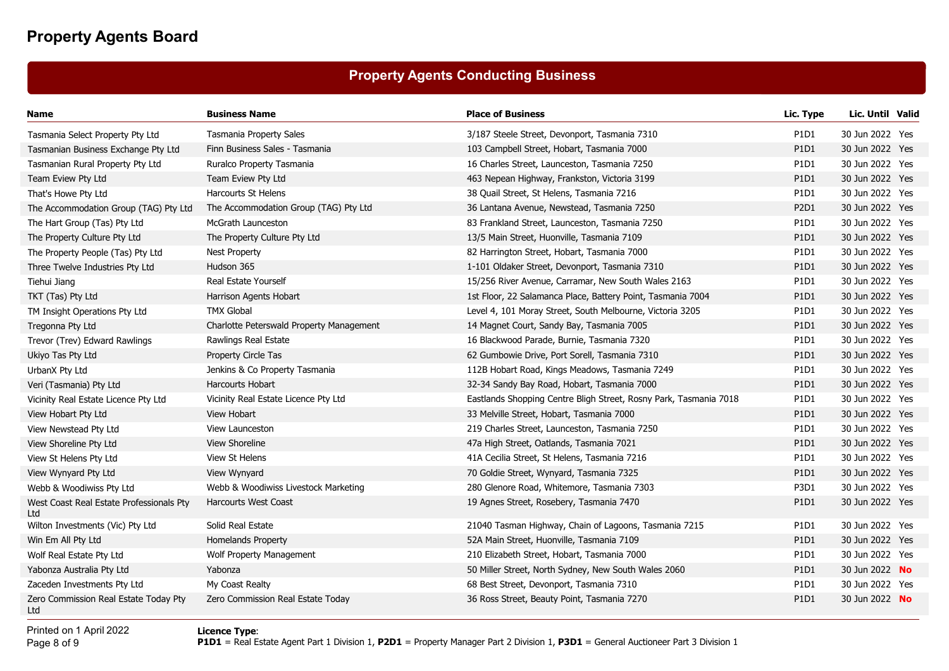## **Property Agents Conducting Business**

| Name                                            | <b>Business Name</b>                     | <b>Place of Business</b>                                          | Lic. Type                     | Lic. Until Valid      |  |
|-------------------------------------------------|------------------------------------------|-------------------------------------------------------------------|-------------------------------|-----------------------|--|
| Tasmania Select Property Pty Ltd                | Tasmania Property Sales                  | 3/187 Steele Street, Devonport, Tasmania 7310                     | P1D1                          | 30 Jun 2022 Yes       |  |
| Tasmanian Business Exchange Pty Ltd             | Finn Business Sales - Tasmania           | 103 Campbell Street, Hobart, Tasmania 7000                        | P1D1                          | 30 Jun 2022 Yes       |  |
| Tasmanian Rural Property Pty Ltd                | Ruralco Property Tasmania                | 16 Charles Street, Launceston, Tasmania 7250                      | P1D1                          | 30 Jun 2022 Yes       |  |
| Team Eview Pty Ltd                              | Team Eview Pty Ltd                       | 463 Nepean Highway, Frankston, Victoria 3199                      | P1D1                          | 30 Jun 2022 Yes       |  |
| That's Howe Pty Ltd                             | <b>Harcourts St Helens</b>               | 38 Quail Street, St Helens, Tasmania 7216                         | P1D1                          | 30 Jun 2022 Yes       |  |
| The Accommodation Group (TAG) Pty Ltd           | The Accommodation Group (TAG) Pty Ltd    | 36 Lantana Avenue, Newstead, Tasmania 7250                        | P2D1                          | 30 Jun 2022 Yes       |  |
| The Hart Group (Tas) Pty Ltd                    | McGrath Launceston                       | 83 Frankland Street, Launceston, Tasmania 7250                    | P1D1                          | 30 Jun 2022 Yes       |  |
| The Property Culture Pty Ltd                    | The Property Culture Pty Ltd             | 13/5 Main Street, Huonville, Tasmania 7109                        | P1D1                          | 30 Jun 2022 Yes       |  |
| The Property People (Tas) Pty Ltd               | <b>Nest Property</b>                     | 82 Harrington Street, Hobart, Tasmania 7000                       | P1D1                          | 30 Jun 2022 Yes       |  |
| Three Twelve Industries Pty Ltd                 | Hudson 365                               | 1-101 Oldaker Street, Devonport, Tasmania 7310                    | P1D1                          | 30 Jun 2022 Yes       |  |
| Tiehui Jiang                                    | Real Estate Yourself                     | 15/256 River Avenue, Carramar, New South Wales 2163               | P1D1                          | 30 Jun 2022 Yes       |  |
| TKT (Tas) Pty Ltd                               | Harrison Agents Hobart                   | 1st Floor, 22 Salamanca Place, Battery Point, Tasmania 7004       | P1D1                          | 30 Jun 2022 Yes       |  |
| TM Insight Operations Pty Ltd                   | <b>TMX Global</b>                        | Level 4, 101 Moray Street, South Melbourne, Victoria 3205         | P1D1                          | 30 Jun 2022 Yes       |  |
| Tregonna Pty Ltd                                | Charlotte Peterswald Property Management | 14 Magnet Court, Sandy Bay, Tasmania 7005                         | P1D1                          | 30 Jun 2022 Yes       |  |
| Trevor (Trev) Edward Rawlings                   | Rawlings Real Estate                     | 16 Blackwood Parade, Burnie, Tasmania 7320                        | P1D1                          | 30 Jun 2022 Yes       |  |
| Ukiyo Tas Pty Ltd                               | Property Circle Tas                      | 62 Gumbowie Drive, Port Sorell, Tasmania 7310                     | P <sub>1</sub> D <sub>1</sub> | 30 Jun 2022 Yes       |  |
| UrbanX Pty Ltd                                  | Jenkins & Co Property Tasmania           | 112B Hobart Road, Kings Meadows, Tasmania 7249                    | P1D1                          | 30 Jun 2022 Yes       |  |
| Veri (Tasmania) Pty Ltd                         | Harcourts Hobart                         | 32-34 Sandy Bay Road, Hobart, Tasmania 7000                       | P1D1                          | 30 Jun 2022 Yes       |  |
| Vicinity Real Estate Licence Pty Ltd            | Vicinity Real Estate Licence Pty Ltd     | Eastlands Shopping Centre Bligh Street, Rosny Park, Tasmania 7018 | P1D1                          | 30 Jun 2022 Yes       |  |
| View Hobart Pty Ltd                             | <b>View Hobart</b>                       | 33 Melville Street, Hobart, Tasmania 7000                         | P1D1                          | 30 Jun 2022 Yes       |  |
| View Newstead Pty Ltd                           | <b>View Launceston</b>                   | 219 Charles Street, Launceston, Tasmania 7250                     | P1D1                          | 30 Jun 2022 Yes       |  |
| View Shoreline Pty Ltd                          | View Shoreline                           | 47a High Street, Oatlands, Tasmania 7021                          | P1D1                          | 30 Jun 2022 Yes       |  |
| View St Helens Pty Ltd                          | View St Helens                           | 41A Cecilia Street, St Helens, Tasmania 7216                      | P1D1                          | 30 Jun 2022 Yes       |  |
| View Wynyard Pty Ltd                            | View Wynyard                             | 70 Goldie Street, Wynyard, Tasmania 7325                          | P1D1                          | 30 Jun 2022 Yes       |  |
| Webb & Woodiwiss Pty Ltd                        | Webb & Woodiwiss Livestock Marketing     | 280 Glenore Road, Whitemore, Tasmania 7303                        | P3D1                          | 30 Jun 2022 Yes       |  |
| West Coast Real Estate Professionals Pty<br>Ltd | <b>Harcourts West Coast</b>              | 19 Agnes Street, Rosebery, Tasmania 7470                          | P1D1                          | 30 Jun 2022 Yes       |  |
| Wilton Investments (Vic) Pty Ltd                | Solid Real Estate                        | 21040 Tasman Highway, Chain of Lagoons, Tasmania 7215             | P <sub>1</sub> D <sub>1</sub> | 30 Jun 2022 Yes       |  |
| Win Em All Pty Ltd                              | <b>Homelands Property</b>                | 52A Main Street, Huonville, Tasmania 7109                         | P1D1                          | 30 Jun 2022 Yes       |  |
| Wolf Real Estate Pty Ltd                        | Wolf Property Management                 | 210 Elizabeth Street, Hobart, Tasmania 7000                       | P1D1                          | 30 Jun 2022 Yes       |  |
| Yabonza Australia Pty Ltd                       | Yabonza                                  | 50 Miller Street, North Sydney, New South Wales 2060              | P1D1                          | 30 Jun 2022 No        |  |
| Zaceden Investments Pty Ltd                     | My Coast Realty                          | 68 Best Street, Devonport, Tasmania 7310                          | P1D1                          | 30 Jun 2022 Yes       |  |
| Zero Commission Real Estate Today Pty<br>l td.  | Zero Commission Real Estate Today        | 36 Ross Street, Beauty Point, Tasmania 7270                       | P1D1                          | 30 Jun 2022 <b>No</b> |  |

Printed on 1 April 2022Page 8 of 9